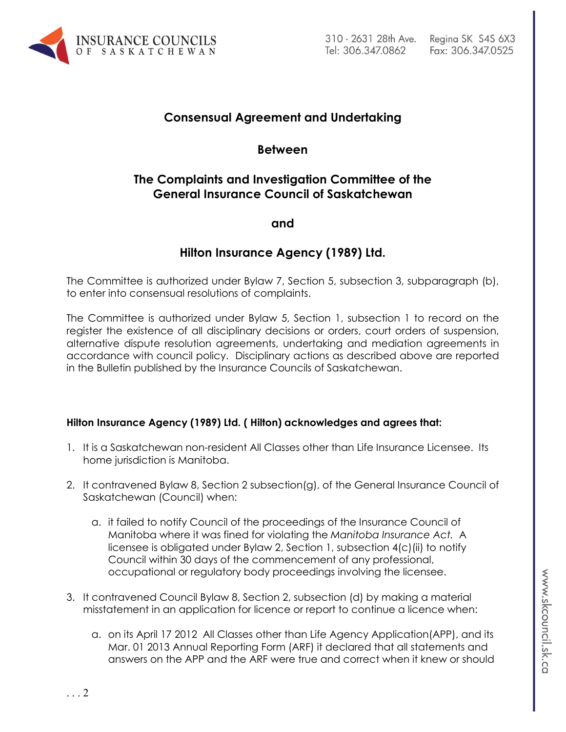

# **Consensual Agreement and Undertaking**

### **Between**

## **The Complaints and Investigation Committee of the General Insurance Council of Saskatchewan**

**and** 

## **Hilton Insurance Agency (1989) Ltd.**

The Committee is authorized under Bylaw 7, Section 5, subsection 3, subparagraph (b), to enter into consensual resolutions of complaints.

The Committee is authorized under Bylaw 5, Section 1, subsection 1 to record on the register the existence of all disciplinary decisions or orders, court orders of suspension, alternative dispute resolution agreements, undertaking and mediation agreements in accordance with council policy. Disciplinary actions as described above are reported in the Bulletin published by the Insurance Councils of Saskatchewan.

### **Hilton Insurance Agency (1989) Ltd. ( Hilton) acknowledges and agrees that:**

- 1. It is a Saskatchewan non-resident All Classes other than Life Insurance Licensee. Its home jurisdiction is Manitoba.
- 2. It contravened Bylaw 8, Section 2 subsection(g), of the General Insurance Council of Saskatchewan (Council) when:
	- a. it failed to notify Council of the proceedings of the Insurance Council of Manitoba where it was fined for violating the *Manitoba Insurance Act.* A licensee is obligated under Bylaw 2, Section 1, subsection 4(c)(ii) to notify Council within 30 days of the commencement of any professional, occupational or regulatory body proceedings involving the licensee.
- 3. It contravened Council Bylaw 8, Section 2, subsection (d) by making a material misstatement in an application for licence or report to continue a licence when:
	- a. on its April 17 2012 All Classes other than Life Agency Application(APP), and its Mar. 01 2013 Annual Reporting Form (ARF) it declared that all statements and answers on the APP and the ARF were true and correct when it knew or should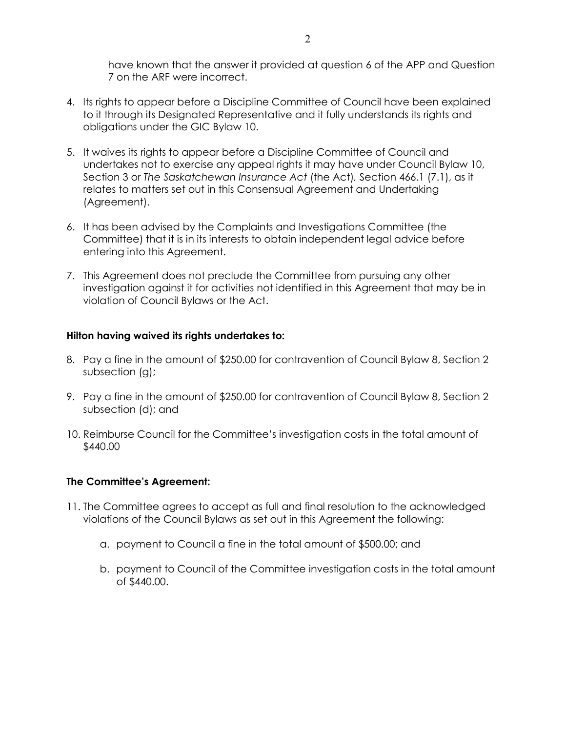have known that the answer it provided at question 6 of the APP and Question 7 on the ARF were incorrect.

- 4. Its rights to appear before a Discipline Committee of Council have been explained to it through its Designated Representative and it fully understands its rights and obligations under the GIC Bylaw 10.
- 5. It waives its rights to appear before a Discipline Committee of Council and undertakes not to exercise any appeal rights it may have under Council Bylaw 10, Section 3 or *The Saskatchewan Insurance Act* (the Act)*,* Section 466.1 (7.1), as it relates to matters set out in this Consensual Agreement and Undertaking (Agreement).
- 6. It has been advised by the Complaints and Investigations Committee (the Committee) that it is in its interests to obtain independent legal advice before entering into this Agreement.
- 7. This Agreement does not preclude the Committee from pursuing any other investigation against it for activities not identified in this Agreement that may be in violation of Council Bylaws or the Act.

#### **Hilton having waived its rights undertakes to:**

- 8. Pay a fine in the amount of \$250.00 for contravention of Council Bylaw 8, Section 2 subsection (g);
- 9. Pay a fine in the amount of \$250.00 for contravention of Council Bylaw 8, Section 2 subsection (d); and
- 10. Reimburse Council for the Committee's investigation costs in the total amount of \$440.00

#### **The Committee's Agreement:**

- 11. The Committee agrees to accept as full and final resolution to the acknowledged violations of the Council Bylaws as set out in this Agreement the following:
	- a. payment to Council a fine in the total amount of \$500.00; and
	- b. payment to Council of the Committee investigation costs in the total amount of \$440.00.